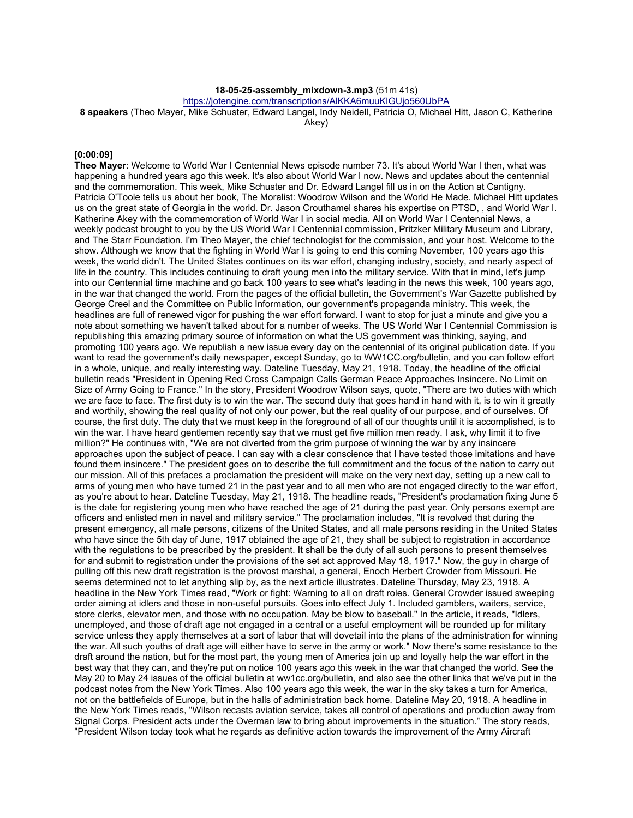#### **18-05-25-assembly\_mixdown-3.mp3** (51m 41s)

https://jotengine.com/transcriptions/AlKKA6muuKIGUjo560UbPA

**8 speakers** (Theo Mayer, Mike Schuster, Edward Langel, Indy Neidell, Patricia O, Michael Hitt, Jason C, Katherine Akey)

#### **[0:00:09]**

**Theo Mayer**: Welcome to World War I Centennial News episode number 73. It's about World War I then, what was happening a hundred years ago this week. It's also about World War I now. News and updates about the centennial and the commemoration. This week, Mike Schuster and Dr. Edward Langel fill us in on the Action at Cantigny. Patricia O'Toole tells us about her book, The Moralist: Woodrow Wilson and the World He Made. Michael Hitt updates us on the great state of Georgia in the world. Dr. Jason Crouthamel shares his expertise on PTSD, , and World War I. Katherine Akey with the commemoration of World War I in social media. All on World War I Centennial News, a weekly podcast brought to you by the US World War I Centennial commission, Pritzker Military Museum and Library, and The Starr Foundation. I'm Theo Mayer, the chief technologist for the commission, and your host. Welcome to the show. Although we know that the fighting in World War I is going to end this coming November, 100 years ago this week, the world didn't. The United States continues on its war effort, changing industry, society, and nearly aspect of life in the country. This includes continuing to draft young men into the military service. With that in mind, let's jump into our Centennial time machine and go back 100 years to see what's leading in the news this week, 100 years ago, in the war that changed the world. From the pages of the official bulletin, the Government's War Gazette published by George Creel and the Committee on Public Information, our government's propaganda ministry. This week, the headlines are full of renewed vigor for pushing the war effort forward. I want to stop for just a minute and give you a note about something we haven't talked about for a number of weeks. The US World War I Centennial Commission is republishing this amazing primary source of information on what the US government was thinking, saying, and promoting 100 years ago. We republish a new issue every day on the centennial of its original publication date. If you want to read the government's daily newspaper, except Sunday, go to WW1CC.org/bulletin, and you can follow effort in a whole, unique, and really interesting way. Dateline Tuesday, May 21, 1918. Today, the headline of the official bulletin reads "President in Opening Red Cross Campaign Calls German Peace Approaches Insincere. No Limit on Size of Army Going to France." In the story, President Woodrow Wilson says, quote, "There are two duties with which we are face to face. The first duty is to win the war. The second duty that goes hand in hand with it, is to win it greatly and worthily, showing the real quality of not only our power, but the real quality of our purpose, and of ourselves. Of course, the first duty. The duty that we must keep in the foreground of all of our thoughts until it is accomplished, is to win the war. I have heard gentlemen recently say that we must get five million men ready. I ask, why limit it to five million?" He continues with, "We are not diverted from the grim purpose of winning the war by any insincere approaches upon the subject of peace. I can say with a clear conscience that I have tested those imitations and have found them insincere." The president goes on to describe the full commitment and the focus of the nation to carry out our mission. All of this prefaces a proclamation the president will make on the very next day, setting up a new call to arms of young men who have turned 21 in the past year and to all men who are not engaged directly to the war effort, as you're about to hear. Dateline Tuesday, May 21, 1918. The headline reads, "President's proclamation fixing June 5 is the date for registering young men who have reached the age of 21 during the past year. Only persons exempt are officers and enlisted men in navel and military service." The proclamation includes, "It is revolved that during the present emergency, all male persons, citizens of the United States, and all male persons residing in the United States who have since the 5th day of June, 1917 obtained the age of 21, they shall be subject to registration in accordance with the regulations to be prescribed by the president. It shall be the duty of all such persons to present themselves for and submit to registration under the provisions of the set act approved May 18, 1917." Now, the guy in charge of pulling off this new draft registration is the provost marshal, a general, Enoch Herbert Crowder from Missouri. He seems determined not to let anything slip by, as the next article illustrates. Dateline Thursday, May 23, 1918. A headline in the New York Times read, "Work or fight: Warning to all on draft roles. General Crowder issued sweeping order aiming at idlers and those in non-useful pursuits. Goes into effect July 1. Included gamblers, waiters, service, store clerks, elevator men, and those with no occupation. May be blow to baseball." In the article, it reads, "Idlers, unemployed, and those of draft age not engaged in a central or a useful employment will be rounded up for military service unless they apply themselves at a sort of labor that will dovetail into the plans of the administration for winning the war. All such youths of draft age will either have to serve in the army or work." Now there's some resistance to the draft around the nation, but for the most part, the young men of America join up and loyally help the war effort in the best way that they can, and they're put on notice 100 years ago this week in the war that changed the world. See the May 20 to May 24 issues of the official bulletin at ww1cc.org/bulletin, and also see the other links that we've put in the podcast notes from the New York Times. Also 100 years ago this week, the war in the sky takes a turn for America, not on the battlefields of Europe, but in the halls of administration back home. Dateline May 20, 1918. A headline in the New York Times reads, "Wilson recasts aviation service, takes all control of operations and production away from Signal Corps. President acts under the Overman law to bring about improvements in the situation." The story reads, "President Wilson today took what he regards as definitive action towards the improvement of the Army Aircraft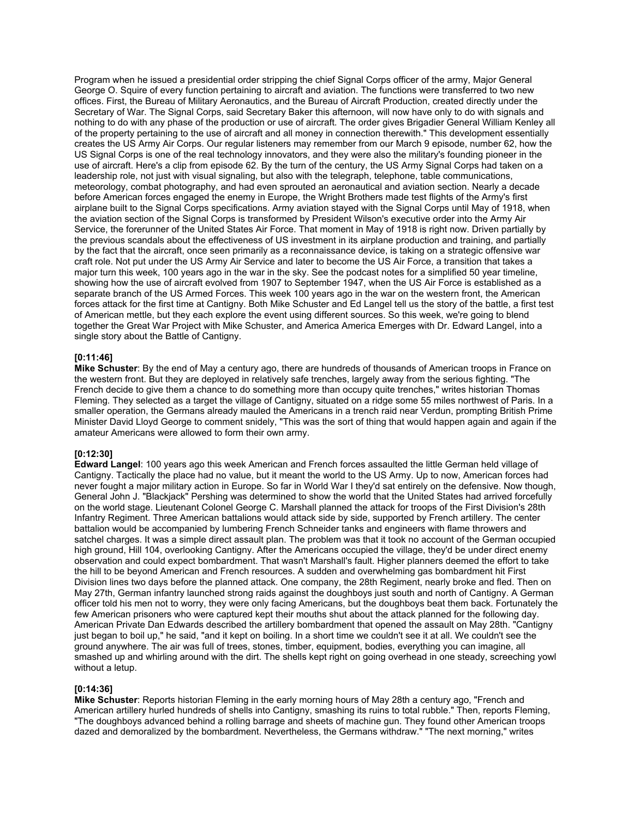Program when he issued a presidential order stripping the chief Signal Corps officer of the army, Major General George O. Squire of every function pertaining to aircraft and aviation. The functions were transferred to two new offices. First, the Bureau of Military Aeronautics, and the Bureau of Aircraft Production, created directly under the Secretary of War. The Signal Corps, said Secretary Baker this afternoon, will now have only to do with signals and nothing to do with any phase of the production or use of aircraft. The order gives Brigadier General William Kenley all of the property pertaining to the use of aircraft and all money in connection therewith." This development essentially creates the US Army Air Corps. Our regular listeners may remember from our March 9 episode, number 62, how the US Signal Corps is one of the real technology innovators, and they were also the military's founding pioneer in the use of aircraft. Here's a clip from episode 62. By the turn of the century, the US Army Signal Corps had taken on a leadership role, not just with visual signaling, but also with the telegraph, telephone, table communications, meteorology, combat photography, and had even sprouted an aeronautical and aviation section. Nearly a decade before American forces engaged the enemy in Europe, the Wright Brothers made test flights of the Army's first airplane built to the Signal Corps specifications. Army aviation stayed with the Signal Corps until May of 1918, when the aviation section of the Signal Corps is transformed by President Wilson's executive order into the Army Air Service, the forerunner of the United States Air Force. That moment in May of 1918 is right now. Driven partially by the previous scandals about the effectiveness of US investment in its airplane production and training, and partially by the fact that the aircraft, once seen primarily as a reconnaissance device, is taking on a strategic offensive war craft role. Not put under the US Army Air Service and later to become the US Air Force, a transition that takes a major turn this week, 100 years ago in the war in the sky. See the podcast notes for a simplified 50 year timeline, showing how the use of aircraft evolved from 1907 to September 1947, when the US Air Force is established as a separate branch of the US Armed Forces. This week 100 years ago in the war on the western front, the American forces attack for the first time at Cantigny. Both Mike Schuster and Ed Langel tell us the story of the battle, a first test of American mettle, but they each explore the event using different sources. So this week, we're going to blend together the Great War Project with Mike Schuster, and America America Emerges with Dr. Edward Langel, into a single story about the Battle of Cantigny.

#### **[0:11:46]**

**Mike Schuster**: By the end of May a century ago, there are hundreds of thousands of American troops in France on the western front. But they are deployed in relatively safe trenches, largely away from the serious fighting. "The French decide to give them a chance to do something more than occupy quite trenches," writes historian Thomas Fleming. They selected as a target the village of Cantigny, situated on a ridge some 55 miles northwest of Paris. In a smaller operation, the Germans already mauled the Americans in a trench raid near Verdun, prompting British Prime Minister David Lloyd George to comment snidely, "This was the sort of thing that would happen again and again if the amateur Americans were allowed to form their own army.

#### **[0:12:30]**

**Edward Langel**: 100 years ago this week American and French forces assaulted the little German held village of Cantigny. Tactically the place had no value, but it meant the world to the US Army. Up to now, American forces had never fought a major military action in Europe. So far in World War I they'd sat entirely on the defensive. Now though, General John J. "Blackjack" Pershing was determined to show the world that the United States had arrived forcefully on the world stage. Lieutenant Colonel George C. Marshall planned the attack for troops of the First Division's 28th Infantry Regiment. Three American battalions would attack side by side, supported by French artillery. The center battalion would be accompanied by lumbering French Schneider tanks and engineers with flame throwers and satchel charges. It was a simple direct assault plan. The problem was that it took no account of the German occupied high ground, Hill 104, overlooking Cantigny. After the Americans occupied the village, they'd be under direct enemy observation and could expect bombardment. That wasn't Marshall's fault. Higher planners deemed the effort to take the hill to be beyond American and French resources. A sudden and overwhelming gas bombardment hit First Division lines two days before the planned attack. One company, the 28th Regiment, nearly broke and fled. Then on May 27th, German infantry launched strong raids against the doughboys just south and north of Cantigny. A German officer told his men not to worry, they were only facing Americans, but the doughboys beat them back. Fortunately the few American prisoners who were captured kept their mouths shut about the attack planned for the following day. American Private Dan Edwards described the artillery bombardment that opened the assault on May 28th. "Cantigny just began to boil up," he said, "and it kept on boiling. In a short time we couldn't see it at all. We couldn't see the ground anywhere. The air was full of trees, stones, timber, equipment, bodies, everything you can imagine, all smashed up and whirling around with the dirt. The shells kept right on going overhead in one steady, screeching yowl without a letup.

#### **[0:14:36]**

**Mike Schuster**: Reports historian Fleming in the early morning hours of May 28th a century ago, "French and American artillery hurled hundreds of shells into Cantigny, smashing its ruins to total rubble." Then, reports Fleming, "The doughboys advanced behind a rolling barrage and sheets of machine gun. They found other American troops dazed and demoralized by the bombardment. Nevertheless, the Germans withdraw." "The next morning," writes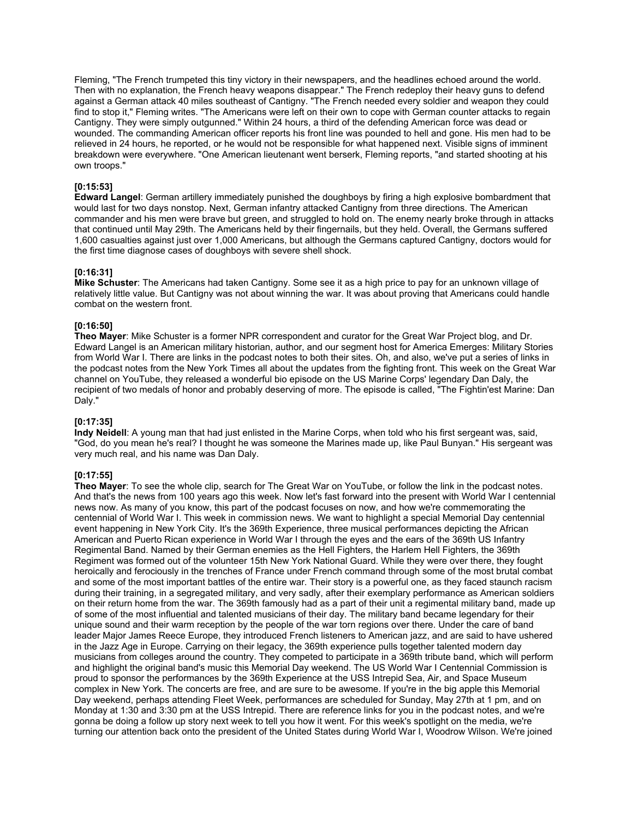Fleming, "The French trumpeted this tiny victory in their newspapers, and the headlines echoed around the world. Then with no explanation, the French heavy weapons disappear." The French redeploy their heavy guns to defend against a German attack 40 miles southeast of Cantigny. "The French needed every soldier and weapon they could find to stop it," Fleming writes. "The Americans were left on their own to cope with German counter attacks to regain Cantigny. They were simply outgunned." Within 24 hours, a third of the defending American force was dead or wounded. The commanding American officer reports his front line was pounded to hell and gone. His men had to be relieved in 24 hours, he reported, or he would not be responsible for what happened next. Visible signs of imminent breakdown were everywhere. "One American lieutenant went berserk, Fleming reports, "and started shooting at his own troops."

## **[0:15:53]**

**Edward Langel**: German artillery immediately punished the doughboys by firing a high explosive bombardment that would last for two days nonstop. Next, German infantry attacked Cantigny from three directions. The American commander and his men were brave but green, and struggled to hold on. The enemy nearly broke through in attacks that continued until May 29th. The Americans held by their fingernails, but they held. Overall, the Germans suffered 1,600 casualties against just over 1,000 Americans, but although the Germans captured Cantigny, doctors would for the first time diagnose cases of doughboys with severe shell shock.

#### **[0:16:31]**

**Mike Schuster**: The Americans had taken Cantigny. Some see it as a high price to pay for an unknown village of relatively little value. But Cantigny was not about winning the war. It was about proving that Americans could handle combat on the western front.

#### **[0:16:50]**

**Theo Mayer**: Mike Schuster is a former NPR correspondent and curator for the Great War Project blog, and Dr. Edward Langel is an American military historian, author, and our segment host for America Emerges: Military Stories from World War I. There are links in the podcast notes to both their sites. Oh, and also, we've put a series of links in the podcast notes from the New York Times all about the updates from the fighting front. This week on the Great War channel on YouTube, they released a wonderful bio episode on the US Marine Corps' legendary Dan Daly, the recipient of two medals of honor and probably deserving of more. The episode is called, "The Fightin'est Marine: Dan Daly."

#### **[0:17:35]**

**Indy Neidell**: A young man that had just enlisted in the Marine Corps, when told who his first sergeant was, said, "God, do you mean he's real? I thought he was someone the Marines made up, like Paul Bunyan." His sergeant was very much real, and his name was Dan Daly.

#### **[0:17:55]**

**Theo Mayer**: To see the whole clip, search for The Great War on YouTube, or follow the link in the podcast notes. And that's the news from 100 years ago this week. Now let's fast forward into the present with World War I centennial news now. As many of you know, this part of the podcast focuses on now, and how we're commemorating the centennial of World War I. This week in commission news. We want to highlight a special Memorial Day centennial event happening in New York City. It's the 369th Experience, three musical performances depicting the African American and Puerto Rican experience in World War I through the eyes and the ears of the 369th US Infantry Regimental Band. Named by their German enemies as the Hell Fighters, the Harlem Hell Fighters, the 369th Regiment was formed out of the volunteer 15th New York National Guard. While they were over there, they fought heroically and ferociously in the trenches of France under French command through some of the most brutal combat and some of the most important battles of the entire war. Their story is a powerful one, as they faced staunch racism during their training, in a segregated military, and very sadly, after their exemplary performance as American soldiers on their return home from the war. The 369th famously had as a part of their unit a regimental military band, made up of some of the most influential and talented musicians of their day. The military band became legendary for their unique sound and their warm reception by the people of the war torn regions over there. Under the care of band leader Major James Reece Europe, they introduced French listeners to American jazz, and are said to have ushered in the Jazz Age in Europe. Carrying on their legacy, the 369th experience pulls together talented modern day musicians from colleges around the country. They competed to participate in a 369th tribute band, which will perform and highlight the original band's music this Memorial Day weekend. The US World War I Centennial Commission is proud to sponsor the performances by the 369th Experience at the USS Intrepid Sea, Air, and Space Museum complex in New York. The concerts are free, and are sure to be awesome. If you're in the big apple this Memorial Day weekend, perhaps attending Fleet Week, performances are scheduled for Sunday, May 27th at 1 pm, and on Monday at 1:30 and 3:30 pm at the USS Intrepid. There are reference links for you in the podcast notes, and we're gonna be doing a follow up story next week to tell you how it went. For this week's spotlight on the media, we're turning our attention back onto the president of the United States during World War I, Woodrow Wilson. We're joined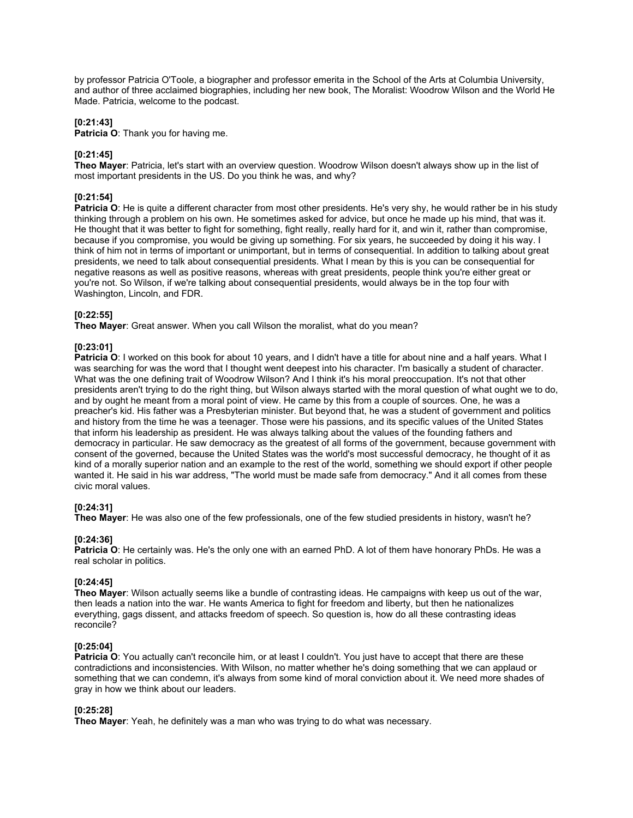by professor Patricia O'Toole, a biographer and professor emerita in the School of the Arts at Columbia University, and author of three acclaimed biographies, including her new book, The Moralist: Woodrow Wilson and the World He Made. Patricia, welcome to the podcast.

## **[0:21:43]**

**Patricia O**: Thank you for having me.

# **[0:21:45]**

**Theo Mayer**: Patricia, let's start with an overview question. Woodrow Wilson doesn't always show up in the list of most important presidents in the US. Do you think he was, and why?

# **[0:21:54]**

**Patricia O**: He is quite a different character from most other presidents. He's very shy, he would rather be in his study thinking through a problem on his own. He sometimes asked for advice, but once he made up his mind, that was it. He thought that it was better to fight for something, fight really, really hard for it, and win it, rather than compromise, because if you compromise, you would be giving up something. For six years, he succeeded by doing it his way. I think of him not in terms of important or unimportant, but in terms of consequential. In addition to talking about great presidents, we need to talk about consequential presidents. What I mean by this is you can be consequential for negative reasons as well as positive reasons, whereas with great presidents, people think you're either great or you're not. So Wilson, if we're talking about consequential presidents, would always be in the top four with Washington, Lincoln, and FDR.

## **[0:22:55]**

**Theo Mayer**: Great answer. When you call Wilson the moralist, what do you mean?

## **[0:23:01]**

**Patricia O**: I worked on this book for about 10 years, and I didn't have a title for about nine and a half years. What I was searching for was the word that I thought went deepest into his character. I'm basically a student of character. What was the one defining trait of Woodrow Wilson? And I think it's his moral preoccupation. It's not that other presidents aren't trying to do the right thing, but Wilson always started with the moral question of what ought we to do, and by ought he meant from a moral point of view. He came by this from a couple of sources. One, he was a preacher's kid. His father was a Presbyterian minister. But beyond that, he was a student of government and politics and history from the time he was a teenager. Those were his passions, and its specific values of the United States that inform his leadership as president. He was always talking about the values of the founding fathers and democracy in particular. He saw democracy as the greatest of all forms of the government, because government with consent of the governed, because the United States was the world's most successful democracy, he thought of it as kind of a morally superior nation and an example to the rest of the world, something we should export if other people wanted it. He said in his war address, "The world must be made safe from democracy." And it all comes from these civic moral values.

## **[0:24:31]**

**Theo Mayer**: He was also one of the few professionals, one of the few studied presidents in history, wasn't he?

## **[0:24:36]**

**Patricia O**: He certainly was. He's the only one with an earned PhD. A lot of them have honorary PhDs. He was a real scholar in politics.

## **[0:24:45]**

**Theo Mayer**: Wilson actually seems like a bundle of contrasting ideas. He campaigns with keep us out of the war, then leads a nation into the war. He wants America to fight for freedom and liberty, but then he nationalizes everything, gags dissent, and attacks freedom of speech. So question is, how do all these contrasting ideas reconcile?

## **[0:25:04]**

**Patricia O**: You actually can't reconcile him, or at least I couldn't. You just have to accept that there are these contradictions and inconsistencies. With Wilson, no matter whether he's doing something that we can applaud or something that we can condemn, it's always from some kind of moral conviction about it. We need more shades of gray in how we think about our leaders.

## **[0:25:28]**

**Theo Mayer**: Yeah, he definitely was a man who was trying to do what was necessary.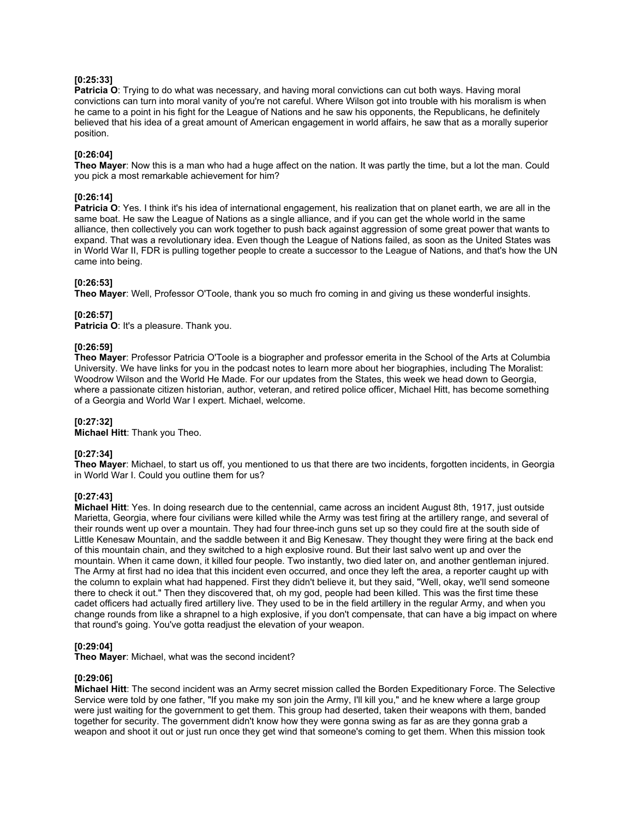#### **[0:25:33]**

**Patricia O**: Trying to do what was necessary, and having moral convictions can cut both ways. Having moral convictions can turn into moral vanity of you're not careful. Where Wilson got into trouble with his moralism is when he came to a point in his fight for the League of Nations and he saw his opponents, the Republicans, he definitely believed that his idea of a great amount of American engagement in world affairs, he saw that as a morally superior position.

#### **[0:26:04]**

**Theo Mayer**: Now this is a man who had a huge affect on the nation. It was partly the time, but a lot the man. Could you pick a most remarkable achievement for him?

#### **[0:26:14]**

**Patricia O**: Yes. I think it's his idea of international engagement, his realization that on planet earth, we are all in the same boat. He saw the League of Nations as a single alliance, and if you can get the whole world in the same alliance, then collectively you can work together to push back against aggression of some great power that wants to expand. That was a revolutionary idea. Even though the League of Nations failed, as soon as the United States was in World War II, FDR is pulling together people to create a successor to the League of Nations, and that's how the UN came into being.

## **[0:26:53]**

**Theo Mayer**: Well, Professor O'Toole, thank you so much fro coming in and giving us these wonderful insights.

#### **[0:26:57]**

**Patricia O**: It's a pleasure. Thank you.

## **[0:26:59]**

**Theo Mayer**: Professor Patricia O'Toole is a biographer and professor emerita in the School of the Arts at Columbia University. We have links for you in the podcast notes to learn more about her biographies, including The Moralist: Woodrow Wilson and the World He Made. For our updates from the States, this week we head down to Georgia, where a passionate citizen historian, author, veteran, and retired police officer, Michael Hitt, has become something of a Georgia and World War I expert. Michael, welcome.

#### **[0:27:32]**

**Michael Hitt**: Thank you Theo.

#### **[0:27:34]**

**Theo Mayer**: Michael, to start us off, you mentioned to us that there are two incidents, forgotten incidents, in Georgia in World War I. Could you outline them for us?

#### **[0:27:43]**

**Michael Hitt**: Yes. In doing research due to the centennial, came across an incident August 8th, 1917, just outside Marietta, Georgia, where four civilians were killed while the Army was test firing at the artillery range, and several of their rounds went up over a mountain. They had four three-inch guns set up so they could fire at the south side of Little Kenesaw Mountain, and the saddle between it and Big Kenesaw. They thought they were firing at the back end of this mountain chain, and they switched to a high explosive round. But their last salvo went up and over the mountain. When it came down, it killed four people. Two instantly, two died later on, and another gentleman injured. The Army at first had no idea that this incident even occurred, and once they left the area, a reporter caught up with the column to explain what had happened. First they didn't believe it, but they said, "Well, okay, we'll send someone there to check it out." Then they discovered that, oh my god, people had been killed. This was the first time these cadet officers had actually fired artillery live. They used to be in the field artillery in the regular Army, and when you change rounds from like a shrapnel to a high explosive, if you don't compensate, that can have a big impact on where that round's going. You've gotta readjust the elevation of your weapon.

#### **[0:29:04]**

**Theo Mayer**: Michael, what was the second incident?

#### **[0:29:06]**

**Michael Hitt**: The second incident was an Army secret mission called the Borden Expeditionary Force. The Selective Service were told by one father, "If you make my son join the Army, I'll kill you," and he knew where a large group were just waiting for the government to get them. This group had deserted, taken their weapons with them, banded together for security. The government didn't know how they were gonna swing as far as are they gonna grab a weapon and shoot it out or just run once they get wind that someone's coming to get them. When this mission took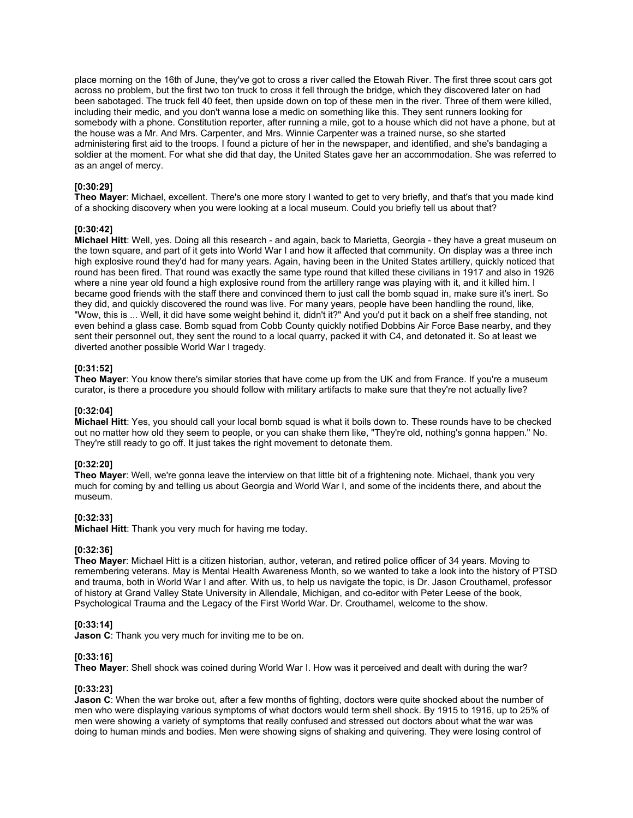place morning on the 16th of June, they've got to cross a river called the Etowah River. The first three scout cars got across no problem, but the first two ton truck to cross it fell through the bridge, which they discovered later on had been sabotaged. The truck fell 40 feet, then upside down on top of these men in the river. Three of them were killed, including their medic, and you don't wanna lose a medic on something like this. They sent runners looking for somebody with a phone. Constitution reporter, after running a mile, got to a house which did not have a phone, but at the house was a Mr. And Mrs. Carpenter, and Mrs. Winnie Carpenter was a trained nurse, so she started administering first aid to the troops. I found a picture of her in the newspaper, and identified, and she's bandaging a soldier at the moment. For what she did that day, the United States gave her an accommodation. She was referred to as an angel of mercy.

## **[0:30:29]**

**Theo Mayer**: Michael, excellent. There's one more story I wanted to get to very briefly, and that's that you made kind of a shocking discovery when you were looking at a local museum. Could you briefly tell us about that?

## **[0:30:42]**

**Michael Hitt**: Well, yes. Doing all this research - and again, back to Marietta, Georgia - they have a great museum on the town square, and part of it gets into World War I and how it affected that community. On display was a three inch high explosive round they'd had for many years. Again, having been in the United States artillery, quickly noticed that round has been fired. That round was exactly the same type round that killed these civilians in 1917 and also in 1926 where a nine year old found a high explosive round from the artillery range was playing with it, and it killed him. I became good friends with the staff there and convinced them to just call the bomb squad in, make sure it's inert. So they did, and quickly discovered the round was live. For many years, people have been handling the round, like, "Wow, this is ... Well, it did have some weight behind it, didn't it?" And you'd put it back on a shelf free standing, not even behind a glass case. Bomb squad from Cobb County quickly notified Dobbins Air Force Base nearby, and they sent their personnel out, they sent the round to a local quarry, packed it with C4, and detonated it. So at least we diverted another possible World War I tragedy.

#### **[0:31:52]**

**Theo Mayer**: You know there's similar stories that have come up from the UK and from France. If you're a museum curator, is there a procedure you should follow with military artifacts to make sure that they're not actually live?

#### **[0:32:04]**

**Michael Hitt**: Yes, you should call your local bomb squad is what it boils down to. These rounds have to be checked out no matter how old they seem to people, or you can shake them like, "They're old, nothing's gonna happen." No. They're still ready to go off. It just takes the right movement to detonate them.

# **[0:32:20]**

**Theo Mayer**: Well, we're gonna leave the interview on that little bit of a frightening note. Michael, thank you very much for coming by and telling us about Georgia and World War I, and some of the incidents there, and about the museum.

#### **[0:32:33]**

**Michael Hitt**: Thank you very much for having me today.

#### **[0:32:36]**

**Theo Mayer**: Michael Hitt is a citizen historian, author, veteran, and retired police officer of 34 years. Moving to remembering veterans. May is Mental Health Awareness Month, so we wanted to take a look into the history of PTSD and trauma, both in World War I and after. With us, to help us navigate the topic, is Dr. Jason Crouthamel, professor of history at Grand Valley State University in Allendale, Michigan, and co-editor with Peter Leese of the book, Psychological Trauma and the Legacy of the First World War. Dr. Crouthamel, welcome to the show.

#### **[0:33:14]**

**Jason C**: Thank you very much for inviting me to be on.

## **[0:33:16]**

**Theo Mayer**: Shell shock was coined during World War I. How was it perceived and dealt with during the war?

#### **[0:33:23]**

**Jason C**: When the war broke out, after a few months of fighting, doctors were quite shocked about the number of men who were displaying various symptoms of what doctors would term shell shock. By 1915 to 1916, up to 25% of men were showing a variety of symptoms that really confused and stressed out doctors about what the war was doing to human minds and bodies. Men were showing signs of shaking and quivering. They were losing control of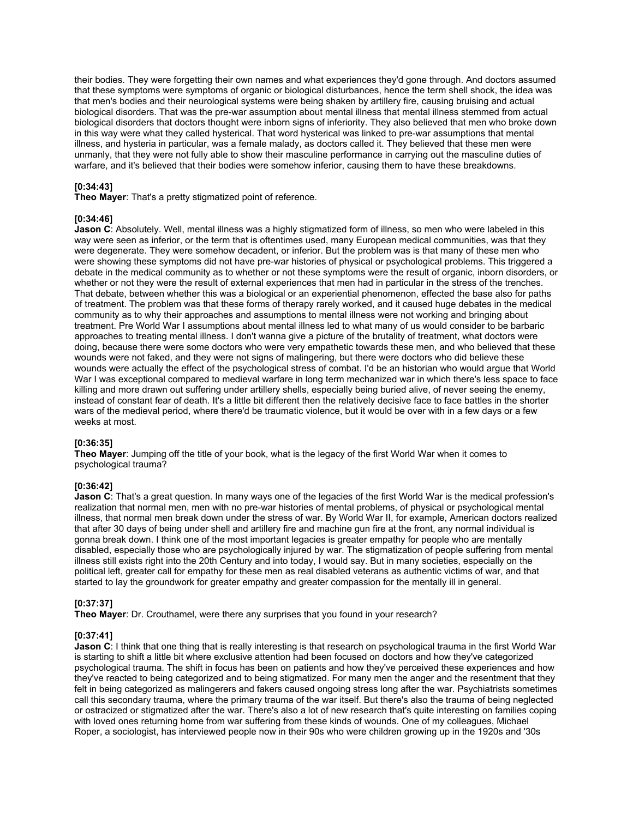their bodies. They were forgetting their own names and what experiences they'd gone through. And doctors assumed that these symptoms were symptoms of organic or biological disturbances, hence the term shell shock, the idea was that men's bodies and their neurological systems were being shaken by artillery fire, causing bruising and actual biological disorders. That was the pre-war assumption about mental illness that mental illness stemmed from actual biological disorders that doctors thought were inborn signs of inferiority. They also believed that men who broke down in this way were what they called hysterical. That word hysterical was linked to pre-war assumptions that mental illness, and hysteria in particular, was a female malady, as doctors called it. They believed that these men were unmanly, that they were not fully able to show their masculine performance in carrying out the masculine duties of warfare, and it's believed that their bodies were somehow inferior, causing them to have these breakdowns.

## **[0:34:43]**

**Theo Mayer**: That's a pretty stigmatized point of reference.

#### **[0:34:46]**

**Jason C**: Absolutely. Well, mental illness was a highly stigmatized form of illness, so men who were labeled in this way were seen as inferior, or the term that is oftentimes used, many European medical communities, was that they were degenerate. They were somehow decadent, or inferior. But the problem was is that many of these men who were showing these symptoms did not have pre-war histories of physical or psychological problems. This triggered a debate in the medical community as to whether or not these symptoms were the result of organic, inborn disorders, or whether or not they were the result of external experiences that men had in particular in the stress of the trenches. That debate, between whether this was a biological or an experiential phenomenon, effected the base also for paths of treatment. The problem was that these forms of therapy rarely worked, and it caused huge debates in the medical community as to why their approaches and assumptions to mental illness were not working and bringing about treatment. Pre World War I assumptions about mental illness led to what many of us would consider to be barbaric approaches to treating mental illness. I don't wanna give a picture of the brutality of treatment, what doctors were doing, because there were some doctors who were very empathetic towards these men, and who believed that these wounds were not faked, and they were not signs of malingering, but there were doctors who did believe these wounds were actually the effect of the psychological stress of combat. I'd be an historian who would argue that World War I was exceptional compared to medieval warfare in long term mechanized war in which there's less space to face killing and more drawn out suffering under artillery shells, especially being buried alive, of never seeing the enemy, instead of constant fear of death. It's a little bit different then the relatively decisive face to face battles in the shorter wars of the medieval period, where there'd be traumatic violence, but it would be over with in a few days or a few weeks at most.

# **[0:36:35]**

**Theo Mayer**: Jumping off the title of your book, what is the legacy of the first World War when it comes to psychological trauma?

# **[0:36:42]**

**Jason C**: That's a great question. In many ways one of the legacies of the first World War is the medical profession's realization that normal men, men with no pre-war histories of mental problems, of physical or psychological mental illness, that normal men break down under the stress of war. By World War II, for example, American doctors realized that after 30 days of being under shell and artillery fire and machine gun fire at the front, any normal individual is gonna break down. I think one of the most important legacies is greater empathy for people who are mentally disabled, especially those who are psychologically injured by war. The stigmatization of people suffering from mental illness still exists right into the 20th Century and into today, I would say. But in many societies, especially on the political left, greater call for empathy for these men as real disabled veterans as authentic victims of war, and that started to lay the groundwork for greater empathy and greater compassion for the mentally ill in general.

#### **[0:37:37]**

**Theo Mayer**: Dr. Crouthamel, were there any surprises that you found in your research?

## **[0:37:41]**

**Jason C**: I think that one thing that is really interesting is that research on psychological trauma in the first World War is starting to shift a little bit where exclusive attention had been focused on doctors and how they've categorized psychological trauma. The shift in focus has been on patients and how they've perceived these experiences and how they've reacted to being categorized and to being stigmatized. For many men the anger and the resentment that they felt in being categorized as malingerers and fakers caused ongoing stress long after the war. Psychiatrists sometimes call this secondary trauma, where the primary trauma of the war itself. But there's also the trauma of being neglected or ostracized or stigmatized after the war. There's also a lot of new research that's quite interesting on families coping with loved ones returning home from war suffering from these kinds of wounds. One of my colleagues, Michael Roper, a sociologist, has interviewed people now in their 90s who were children growing up in the 1920s and '30s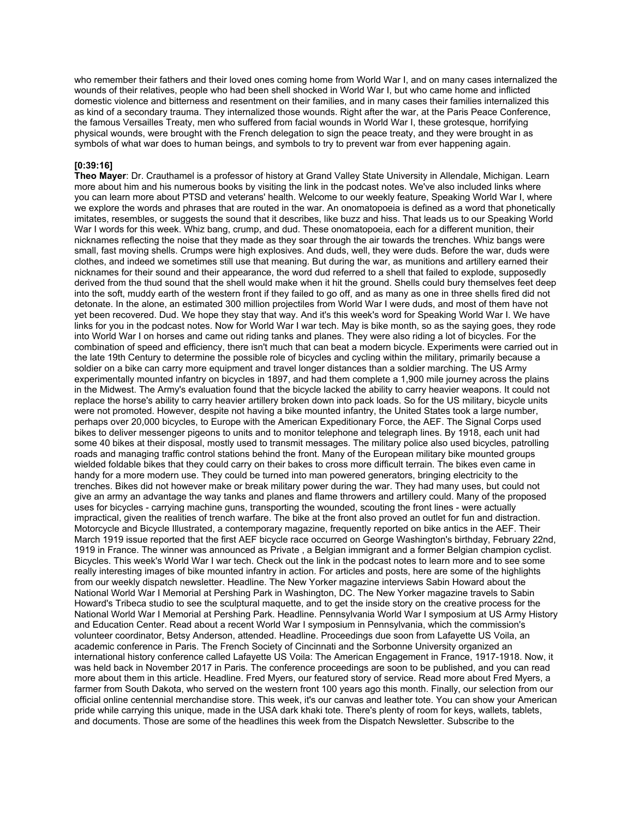who remember their fathers and their loved ones coming home from World War I, and on many cases internalized the wounds of their relatives, people who had been shell shocked in World War I, but who came home and inflicted domestic violence and bitterness and resentment on their families, and in many cases their families internalized this as kind of a secondary trauma. They internalized those wounds. Right after the war, at the Paris Peace Conference, the famous Versailles Treaty, men who suffered from facial wounds in World War I, these grotesque, horrifying physical wounds, were brought with the French delegation to sign the peace treaty, and they were brought in as symbols of what war does to human beings, and symbols to try to prevent war from ever happening again.

## **[0:39:16]**

**Theo Mayer**: Dr. Crauthamel is a professor of history at Grand Valley State University in Allendale, Michigan. Learn more about him and his numerous books by visiting the link in the podcast notes. We've also included links where you can learn more about PTSD and veterans' health. Welcome to our weekly feature, Speaking World War I, where we explore the words and phrases that are routed in the war. An onomatopoeia is defined as a word that phonetically imitates, resembles, or suggests the sound that it describes, like buzz and hiss. That leads us to our Speaking World War I words for this week. Whiz bang, crump, and dud. These onomatopoeia, each for a different munition, their nicknames reflecting the noise that they made as they soar through the air towards the trenches. Whiz bangs were small, fast moving shells. Crumps were high explosives. And duds, well, they were duds. Before the war, duds were clothes, and indeed we sometimes still use that meaning. But during the war, as munitions and artillery earned their nicknames for their sound and their appearance, the word dud referred to a shell that failed to explode, supposedly derived from the thud sound that the shell would make when it hit the ground. Shells could bury themselves feet deep into the soft, muddy earth of the western front if they failed to go off, and as many as one in three shells fired did not detonate. In the alone, an estimated 300 million projectiles from World War I were duds, and most of them have not yet been recovered. Dud. We hope they stay that way. And it's this week's word for Speaking World War I. We have links for you in the podcast notes. Now for World War I war tech. May is bike month, so as the saying goes, they rode into World War I on horses and came out riding tanks and planes. They were also riding a lot of bicycles. For the combination of speed and efficiency, there isn't much that can beat a modern bicycle. Experiments were carried out in the late 19th Century to determine the possible role of bicycles and cycling within the military, primarily because a soldier on a bike can carry more equipment and travel longer distances than a soldier marching. The US Army experimentally mounted infantry on bicycles in 1897, and had them complete a 1,900 mile journey across the plains in the Midwest. The Army's evaluation found that the bicycle lacked the ability to carry heavier weapons. It could not replace the horse's ability to carry heavier artillery broken down into pack loads. So for the US military, bicycle units were not promoted. However, despite not having a bike mounted infantry, the United States took a large number, perhaps over 20,000 bicycles, to Europe with the American Expeditionary Force, the AEF. The Signal Corps used bikes to deliver messenger pigeons to units and to monitor telephone and telegraph lines. By 1918, each unit had some 40 bikes at their disposal, mostly used to transmit messages. The military police also used bicycles, patrolling roads and managing traffic control stations behind the front. Many of the European military bike mounted groups wielded foldable bikes that they could carry on their bakes to cross more difficult terrain. The bikes even came in handy for a more modern use. They could be turned into man powered generators, bringing electricity to the trenches. Bikes did not however make or break military power during the war. They had many uses, but could not give an army an advantage the way tanks and planes and flame throwers and artillery could. Many of the proposed uses for bicycles - carrying machine guns, transporting the wounded, scouting the front lines - were actually impractical, given the realities of trench warfare. The bike at the front also proved an outlet for fun and distraction. Motorcycle and Bicycle Illustrated, a contemporary magazine, frequently reported on bike antics in the AEF. Their March 1919 issue reported that the first AEF bicycle race occurred on George Washington's birthday, February 22nd, 1919 in France. The winner was announced as Private , a Belgian immigrant and a former Belgian champion cyclist. Bicycles. This week's World War I war tech. Check out the link in the podcast notes to learn more and to see some really interesting images of bike mounted infantry in action. For articles and posts, here are some of the highlights from our weekly dispatch newsletter. Headline. The New Yorker magazine interviews Sabin Howard about the National World War I Memorial at Pershing Park in Washington, DC. The New Yorker magazine travels to Sabin Howard's Tribeca studio to see the sculptural maquette, and to get the inside story on the creative process for the National World War I Memorial at Pershing Park. Headline. Pennsylvania World War I symposium at US Army History and Education Center. Read about a recent World War I symposium in Pennsylvania, which the commission's volunteer coordinator, Betsy Anderson, attended. Headline. Proceedings due soon from Lafayette US Voila, an academic conference in Paris. The French Society of Cincinnati and the Sorbonne University organized an international history conference called Lafayette US Voila: The American Engagement in France, 1917-1918. Now, it was held back in November 2017 in Paris. The conference proceedings are soon to be published, and you can read more about them in this article. Headline. Fred Myers, our featured story of service. Read more about Fred Myers, a farmer from South Dakota, who served on the western front 100 years ago this month. Finally, our selection from our official online centennial merchandise store. This week, it's our canvas and leather tote. You can show your American pride while carrying this unique, made in the USA dark khaki tote. There's plenty of room for keys, wallets, tablets, and documents. Those are some of the headlines this week from the Dispatch Newsletter. Subscribe to the